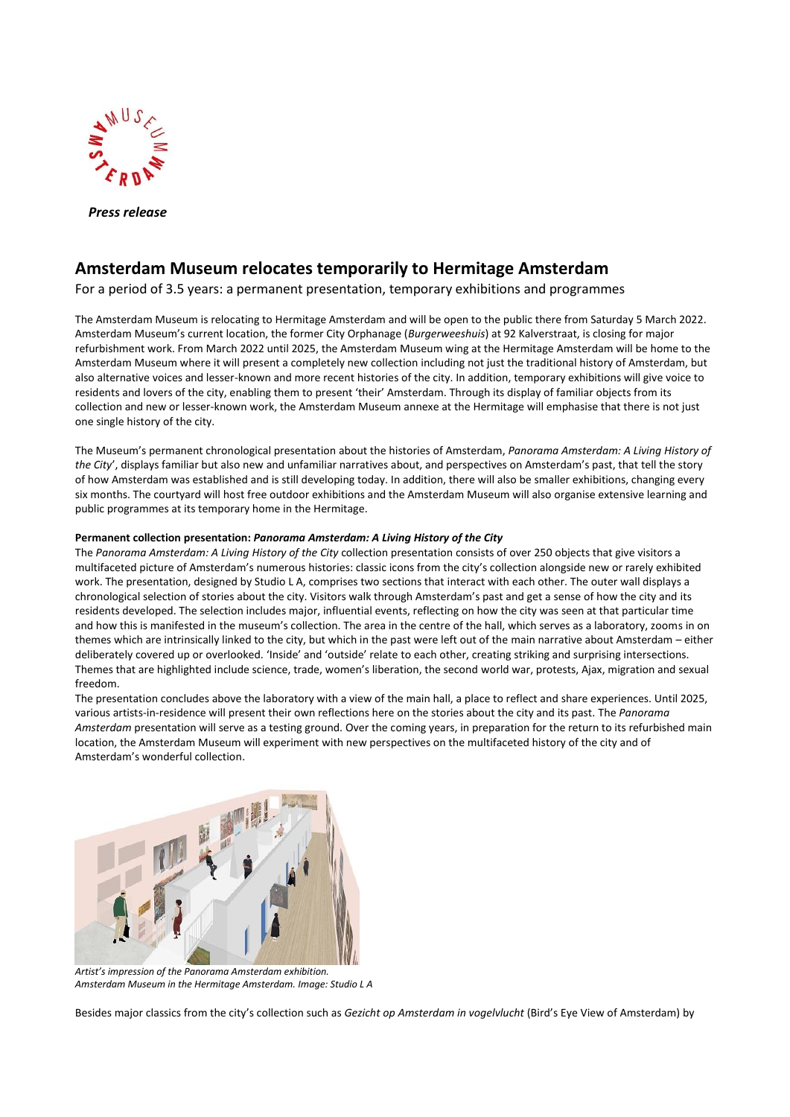

 *Press release*

# **Amsterdam Museum relocates temporarily to Hermitage Amsterdam**

For a period of 3.5 years: a permanent presentation, temporary exhibitions and programmes

The Amsterdam Museum is relocating to Hermitage Amsterdam and will be open to the public there from Saturday 5 March 2022. Amsterdam Museum's current location, the former City Orphanage (*Burgerweeshuis*) at 92 Kalverstraat, is closing for major refurbishment work. From March 2022 until 2025, the Amsterdam Museum wing at the Hermitage Amsterdam will be home to the Amsterdam Museum where it will present a completely new collection including not just the traditional history of Amsterdam, but also alternative voices and lesser-known and more recent histories of the city. In addition, temporary exhibitions will give voice to residents and lovers of the city, enabling them to present 'their' Amsterdam. Through its display of familiar objects from its collection and new or lesser-known work, the Amsterdam Museum annexe at the Hermitage will emphasise that there is not just one single history of the city.

The Museum's permanent chronological presentation about the histories of Amsterdam, *Panorama Amsterdam: A Living History of the City*', displays familiar but also new and unfamiliar narratives about, and perspectives on Amsterdam's past, that tell the story of how Amsterdam was established and is still developing today. In addition, there will also be smaller exhibitions, changing every six months. The courtyard will host free outdoor exhibitions and the Amsterdam Museum will also organise extensive learning and public programmes at its temporary home in the Hermitage.

## **Permanent collection presentation:** *Panorama Amsterdam: A Living History of the City*

The *Panorama Amsterdam: A Living History of the City* collection presentation consists of over 250 objects that give visitors a multifaceted picture of Amsterdam's numerous histories: classic icons from the city's collection alongside new or rarely exhibited work. The presentation, designed by Studio L A, comprises two sections that interact with each other. The outer wall displays a chronological selection of stories about the city. Visitors walk through Amsterdam's past and get a sense of how the city and its residents developed. The selection includes major, influential events, reflecting on how the city was seen at that particular time and how this is manifested in the museum's collection. The area in the centre of the hall, which serves as a laboratory, zooms in on themes which are intrinsically linked to the city, but which in the past were left out of the main narrative about Amsterdam – either deliberately covered up or overlooked. 'Inside' and 'outside' relate to each other, creating striking and surprising intersections. Themes that are highlighted include science, trade, women's liberation, the second world war, protests, Ajax, migration and sexual freedom.

The presentation concludes above the laboratory with a view of the main hall, a place to reflect and share experiences. Until 2025, various artists-in-residence will present their own reflections here on the stories about the city and its past. The *Panorama Amsterdam* presentation will serve as a testing ground. Over the coming years, in preparation for the return to its refurbished main location, the Amsterdam Museum will experiment with new perspectives on the multifaceted history of the city and of Amsterdam's wonderful collection.



*Artist's impression of the Panorama Amsterdam exhibition. Amsterdam Museum in the Hermitage Amsterdam. Image: Studio L A*

Besides major classics from the city's collection such as *Gezicht op Amsterdam in vogelvlucht* (Bird's Eye View of Amsterdam) by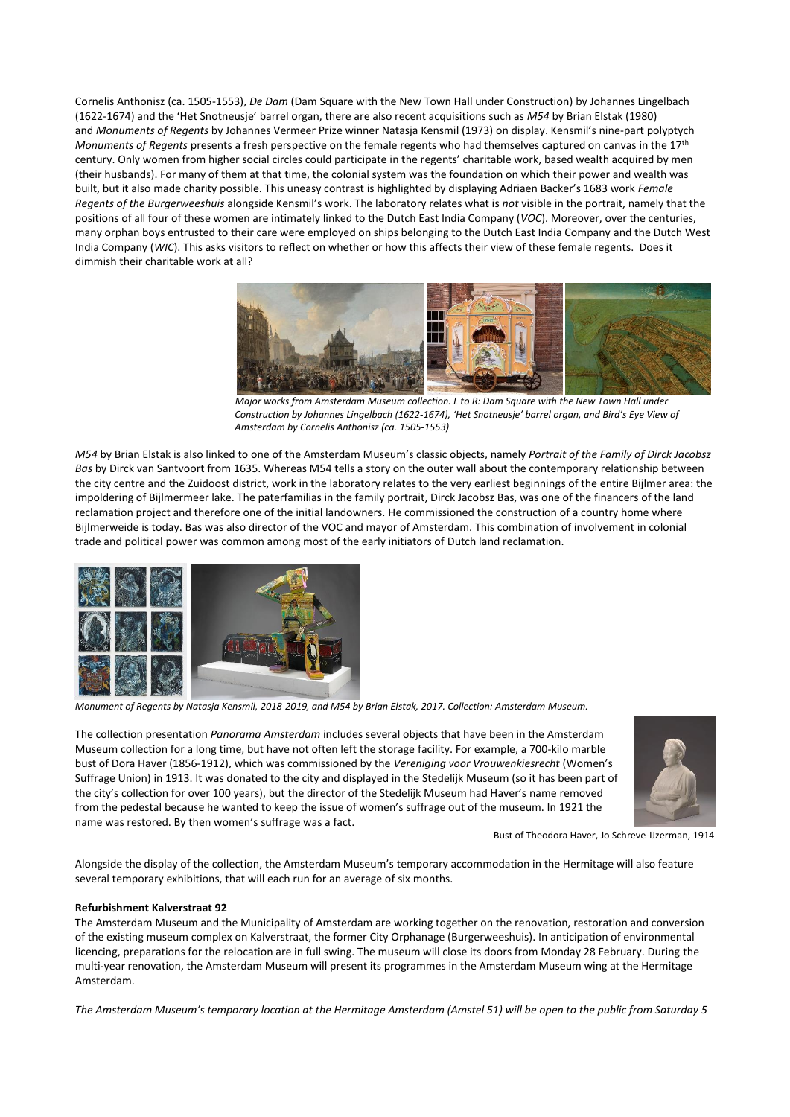Cornelis Anthonisz (ca. 1505-1553), *De Dam* (Dam Square with the New Town Hall under Construction) by Johannes Lingelbach (1622-1674) and the 'Het Snotneusje' barrel organ, there are also recent acquisitions such as *M54* by Brian Elstak (1980) and *Monuments of Regents* by Johannes Vermeer Prize winner Natasja Kensmil (1973) on display. Kensmil's nine-part polyptych *Monuments of Regents* presents a fresh perspective on the female regents who had themselves captured on canvas in the 17th century. Only women from higher social circles could participate in the regents' charitable work, based wealth acquired by men (their husbands). For many of them at that time, the colonial system was the foundation on which their power and wealth was built, but it also made charity possible. This uneasy contrast is highlighted by displaying Adriaen Backer's 1683 work *Female Regents of the Burgerweeshuis* alongside Kensmil's work. The laboratory relates what is *not* visible in the portrait, namely that the positions of all four of these women are intimately linked to the Dutch East India Company (*VOC*). Moreover, over the centuries, many orphan boys entrusted to their care were employed on ships belonging to the Dutch East India Company and the Dutch West India Company (*WIC*). This asks visitors to reflect on whether or how this affects their view of these female regents. Does it dimmish their charitable work at all?



*Major works from Amsterdam Museum collection. L to R: Dam Square with the New Town Hall under Construction by Johannes Lingelbach (1622-1674), 'Het Snotneusje' barrel organ, and Bird's Eye View of Amsterdam by Cornelis Anthonisz (ca. 1505-1553)*

*M54* by Brian Elstak is also linked to one of the Amsterdam Museum's classic objects, namely *Portrait of the Family of Dirck Jacobsz Bas* by Dirck van Santvoort from 1635. Whereas M54 tells a story on the outer wall about the contemporary relationship between the city centre and the Zuidoost district, work in the laboratory relates to the very earliest beginnings of the entire Bijlmer area: the impoldering of Bijlmermeer lake. The paterfamilias in the family portrait, Dirck Jacobsz Bas, was one of the financers of the land reclamation project and therefore one of the initial landowners. He commissioned the construction of a country home where Bijlmerweide is today. Bas was also director of the VOC and mayor of Amsterdam. This combination of involvement in colonial trade and political power was common among most of the early initiators of Dutch land reclamation.



*Monument of Regents by Natasja Kensmil, 2018-2019, and M54 by Brian Elstak, 2017. Collection: Amsterdam Museum.*

The collection presentation *Panorama Amsterdam* includes several objects that have been in the Amsterdam Museum collection for a long time, but have not often left the storage facility. For example, a 700-kilo marble bust of Dora Haver (1856-1912), which was commissioned by the *Vereniging voor Vrouwenkiesrecht* (Women's Suffrage Union) in 1913. It was donated to the city and displayed in the Stedelijk Museum (so it has been part of the city's collection for over 100 years), but the director of the Stedelijk Museum had Haver's name removed from the pedestal because he wanted to keep the issue of women's suffrage out of the museum. In 1921 the name was restored. By then women's suffrage was a fact.



Bust of Theodora Haver, Jo Schreve-IJzerman, 1914

Alongside the display of the collection, the Amsterdam Museum's temporary accommodation in the Hermitage will also feature several temporary exhibitions, that will each run for an average of six months.

## **Refurbishment Kalverstraat 92**

The Amsterdam Museum and the Municipality of Amsterdam are working together on the renovation, restoration and conversion of the existing museum complex on Kalverstraat, the former City Orphanage (Burgerweeshuis). In anticipation of environmental licencing, preparations for the relocation are in full swing. The museum will close its doors from Monday 28 February. During the multi-year renovation, the Amsterdam Museum will present its programmes in the Amsterdam Museum wing at the Hermitage Amsterdam.

*The Amsterdam Museum's temporary location at the Hermitage Amsterdam (Amstel 51) will be open to the public from Saturday 5*